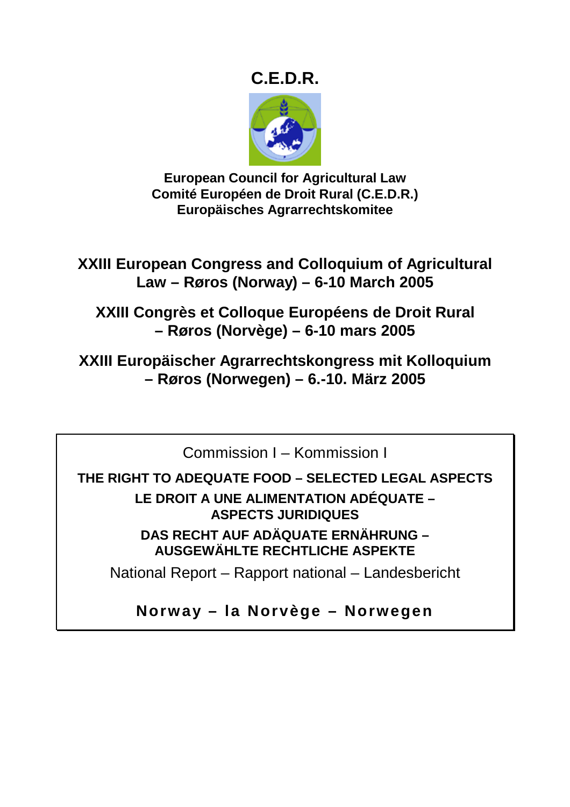# **C.E.D.R.**



**European Council for Agricultural Law Comité Européen de Droit Rural (C.E.D.R.) Europäisches Agrarrechtskomitee** 

**XXIII European Congress and Colloquium of Agricultural Law – Røros (Norway) – 6-10 March 2005** 

**XXIII Congrès et Colloque Européens de Droit Rural – Røros (Norvège) – 6-10 mars 2005** 

**XXIII Europäischer Agrarrechtskongress mit Kolloquium – Røros (Norwegen) – 6.-10. März 2005** 

Commission I – Kommission I

**THE RIGHT TO ADEQUATE FOOD – SELECTED LEGAL ASPECTS** 

**LE DROIT A UNE ALIMENTATION ADÉQUATE – ASPECTS JURIDIQUES DAS RECHT AUF ADÄQUATE ERNÄHRUNG –** 

**AUSGEWÄHLTE RECHTLICHE ASPEKTE** 

National Report – Rapport national – Landesbericht

**Norway – la Norvège – Norwegen**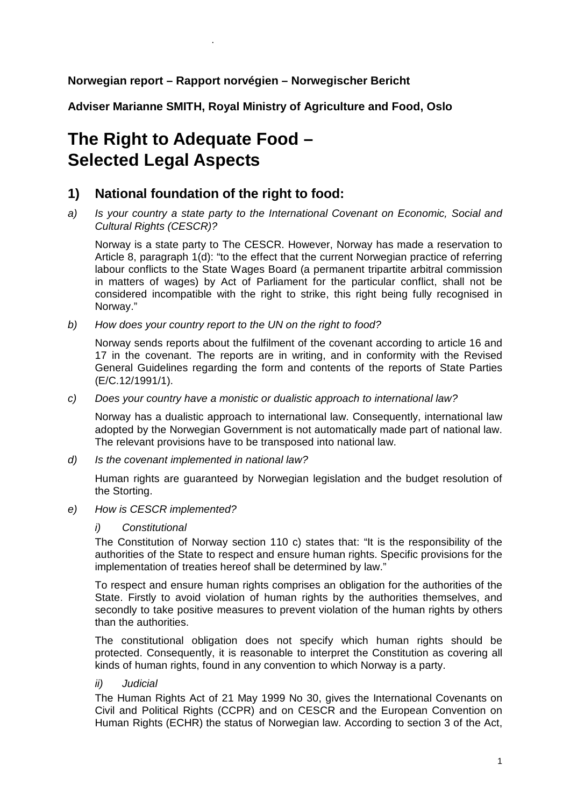### **Norwegian report – Rapport norvégien – Norwegischer Bericht**

**Adviser Marianne SMITH, Royal Ministry of Agriculture and Food, Oslo** 

# **The Right to Adequate Food – Selected Legal Aspects**

.

## **1) National foundation of the right to food:**

*a) Is your country a state party to the International Covenant on Economic, Social and Cultural Rights (CESCR)?* 

Norway is a state party to The CESCR. However, Norway has made a reservation to Article 8, paragraph 1(d): "to the effect that the current Norwegian practice of referring labour conflicts to the State Wages Board (a permanent tripartite arbitral commission in matters of wages) by Act of Parliament for the particular conflict, shall not be considered incompatible with the right to strike, this right being fully recognised in Norway."

*b) How does your country report to the UN on the right to food?* 

Norway sends reports about the fulfilment of the covenant according to article 16 and 17 in the covenant. The reports are in writing, and in conformity with the Revised General Guidelines regarding the form and contents of the reports of State Parties (E/C.12/1991/1).

*c) Does your country have a monistic or dualistic approach to international law?* 

Norway has a dualistic approach to international law. Consequently, international law adopted by the Norwegian Government is not automatically made part of national law. The relevant provisions have to be transposed into national law.

*d) Is the covenant implemented in national law?* 

Human rights are guaranteed by Norwegian legislation and the budget resolution of the Storting.

*e) How is CESCR implemented?* 

#### *i) Constitutional*

The Constitution of Norway section 110 c) states that: "It is the responsibility of the authorities of the State to respect and ensure human rights. Specific provisions for the implementation of treaties hereof shall be determined by law."

To respect and ensure human rights comprises an obligation for the authorities of the State. Firstly to avoid violation of human rights by the authorities themselves, and secondly to take positive measures to prevent violation of the human rights by others than the authorities.

The constitutional obligation does not specify which human rights should be protected. Consequently, it is reasonable to interpret the Constitution as covering all kinds of human rights, found in any convention to which Norway is a party.

*ii) Judicial* 

The Human Rights Act of 21 May 1999 No 30, gives the International Covenants on Civil and Political Rights (CCPR) and on CESCR and the European Convention on Human Rights (ECHR) the status of Norwegian law. According to section 3 of the Act,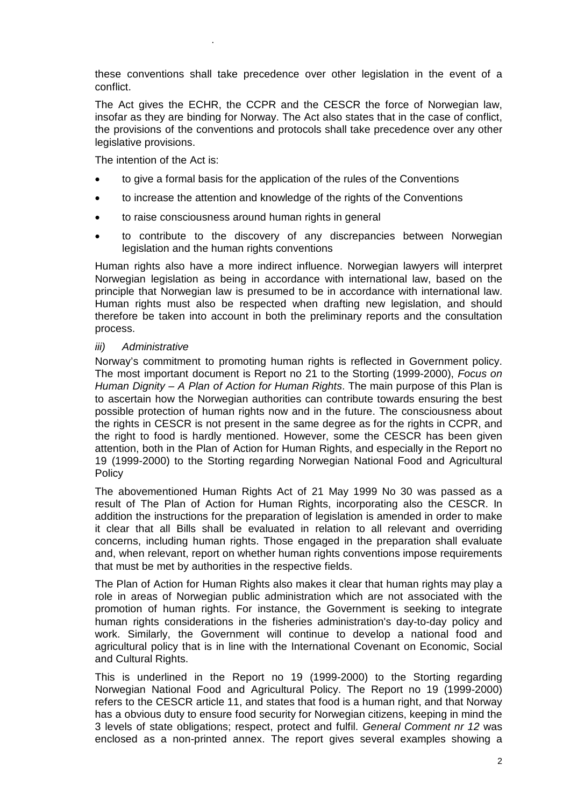these conventions shall take precedence over other legislation in the event of a conflict.

The Act gives the ECHR, the CCPR and the CESCR the force of Norwegian law, insofar as they are binding for Norway. The Act also states that in the case of conflict, the provisions of the conventions and protocols shall take precedence over any other legislative provisions.

The intention of the Act is:

.

- to give a formal basis for the application of the rules of the Conventions
- to increase the attention and knowledge of the rights of the Conventions
- to raise consciousness around human rights in general
- to contribute to the discovery of any discrepancies between Norwegian legislation and the human rights conventions

Human rights also have a more indirect influence. Norwegian lawyers will interpret Norwegian legislation as being in accordance with international law, based on the principle that Norwegian law is presumed to be in accordance with international law. Human rights must also be respected when drafting new legislation, and should therefore be taken into account in both the preliminary reports and the consultation process.

#### *iii) Administrative*

Norway's commitment to promoting human rights is reflected in Government policy. The most important document is Report no 21 to the Storting (1999-2000), *Focus on Human Dignity – A Plan of Action for Human Rights*. The main purpose of this Plan is to ascertain how the Norwegian authorities can contribute towards ensuring the best possible protection of human rights now and in the future. The consciousness about the rights in CESCR is not present in the same degree as for the rights in CCPR, and the right to food is hardly mentioned. However, some the CESCR has been given attention, both in the Plan of Action for Human Rights, and especially in the Report no 19 (1999-2000) to the Storting regarding Norwegian National Food and Agricultural **Policy** 

The abovementioned Human Rights Act of 21 May 1999 No 30 was passed as a result of The Plan of Action for Human Rights, incorporating also the CESCR. In addition the instructions for the preparation of legislation is amended in order to make it clear that all Bills shall be evaluated in relation to all relevant and overriding concerns, including human rights. Those engaged in the preparation shall evaluate and, when relevant, report on whether human rights conventions impose requirements that must be met by authorities in the respective fields.

The Plan of Action for Human Rights also makes it clear that human rights may play a role in areas of Norwegian public administration which are not associated with the promotion of human rights. For instance, the Government is seeking to integrate human rights considerations in the fisheries administration's day-to-day policy and work. Similarly, the Government will continue to develop a national food and agricultural policy that is in line with the International Covenant on Economic, Social and Cultural Rights.

This is underlined in the Report no 19 (1999-2000) to the Storting regarding Norwegian National Food and Agricultural Policy. The Report no 19 (1999-2000) refers to the CESCR article 11, and states that food is a human right, and that Norway has a obvious duty to ensure food security for Norwegian citizens, keeping in mind the 3 levels of state obligations; respect, protect and fulfil. *General Comment nr 12* was enclosed as a non-printed annex. The report gives several examples showing a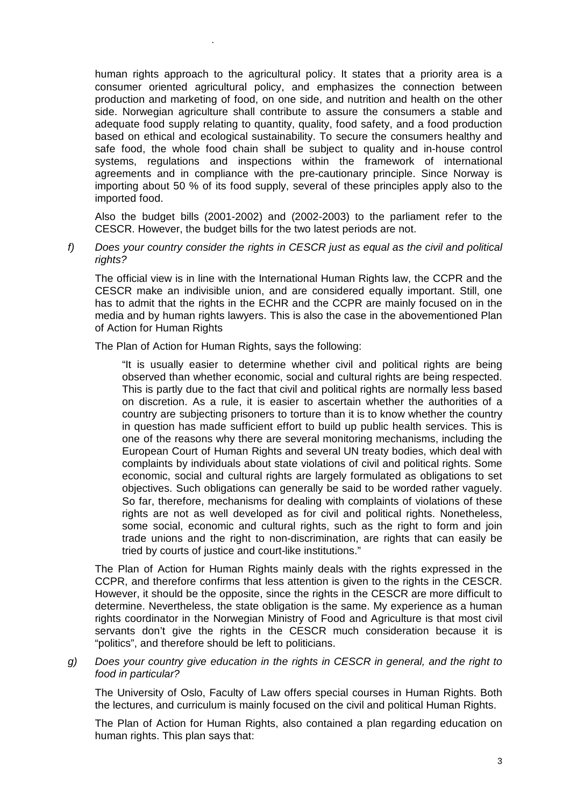human rights approach to the agricultural policy. It states that a priority area is a consumer oriented agricultural policy, and emphasizes the connection between production and marketing of food, on one side, and nutrition and health on the other side. Norwegian agriculture shall contribute to assure the consumers a stable and adequate food supply relating to quantity, quality, food safety, and a food production based on ethical and ecological sustainability. To secure the consumers healthy and safe food, the whole food chain shall be subject to quality and in-house control systems, regulations and inspections within the framework of international agreements and in compliance with the pre-cautionary principle. Since Norway is importing about 50 % of its food supply, several of these principles apply also to the imported food.

Also the budget bills (2001-2002) and (2002-2003) to the parliament refer to the CESCR. However, the budget bills for the two latest periods are not.

*f) Does your country consider the rights in CESCR just as equal as the civil and political rights?* 

The official view is in line with the International Human Rights law, the CCPR and the CESCR make an indivisible union, and are considered equally important. Still, one has to admit that the rights in the ECHR and the CCPR are mainly focused on in the media and by human rights lawyers. This is also the case in the abovementioned Plan of Action for Human Rights

The Plan of Action for Human Rights, says the following:

.

"It is usually easier to determine whether civil and political rights are being observed than whether economic, social and cultural rights are being respected. This is partly due to the fact that civil and political rights are normally less based on discretion. As a rule, it is easier to ascertain whether the authorities of a country are subjecting prisoners to torture than it is to know whether the country in question has made sufficient effort to build up public health services. This is one of the reasons why there are several monitoring mechanisms, including the European Court of Human Rights and several UN treaty bodies, which deal with complaints by individuals about state violations of civil and political rights. Some economic, social and cultural rights are largely formulated as obligations to set objectives. Such obligations can generally be said to be worded rather vaguely. So far, therefore, mechanisms for dealing with complaints of violations of these rights are not as well developed as for civil and political rights. Nonetheless, some social, economic and cultural rights, such as the right to form and join trade unions and the right to non-discrimination, are rights that can easily be tried by courts of justice and court-like institutions."

The Plan of Action for Human Rights mainly deals with the rights expressed in the CCPR, and therefore confirms that less attention is given to the rights in the CESCR. However, it should be the opposite, since the rights in the CESCR are more difficult to determine. Nevertheless, the state obligation is the same. My experience as a human rights coordinator in the Norwegian Ministry of Food and Agriculture is that most civil servants don't give the rights in the CESCR much consideration because it is "politics", and therefore should be left to politicians.

*g) Does your country give education in the rights in CESCR in general, and the right to food in particular?* 

The University of Oslo, Faculty of Law offers special courses in Human Rights. Both the lectures, and curriculum is mainly focused on the civil and political Human Rights.

The Plan of Action for Human Rights, also contained a plan regarding education on human rights. This plan says that: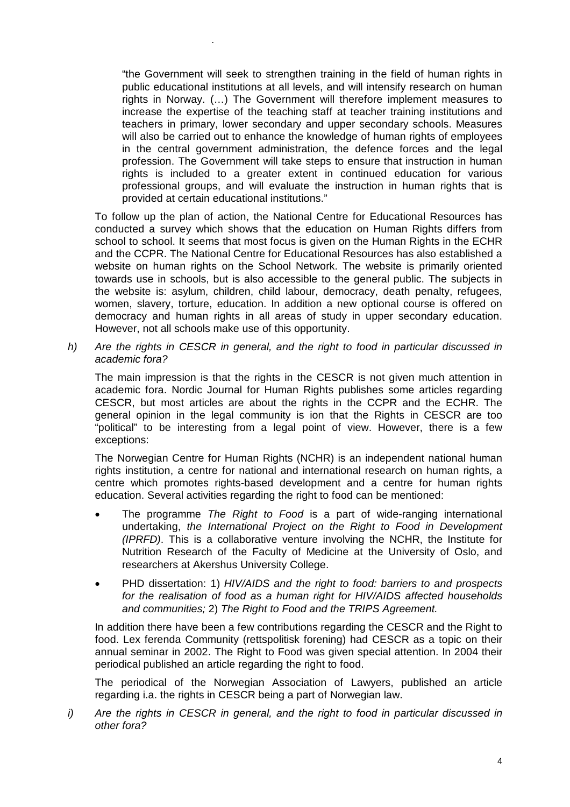"the Government will seek to strengthen training in the field of human rights in public educational institutions at all levels, and will intensify research on human rights in Norway. (…) The Government will therefore implement measures to increase the expertise of the teaching staff at teacher training institutions and teachers in primary, lower secondary and upper secondary schools. Measures will also be carried out to enhance the knowledge of human rights of employees in the central government administration, the defence forces and the legal profession. The Government will take steps to ensure that instruction in human rights is included to a greater extent in continued education for various professional groups, and will evaluate the instruction in human rights that is provided at certain educational institutions."

.

To follow up the plan of action, the National Centre for Educational Resources has conducted a survey which shows that the education on Human Rights differs from school to school. It seems that most focus is given on the Human Rights in the ECHR and the CCPR. The National Centre for Educational Resources has also established a website on human rights on the School Network. The website is primarily oriented towards use in schools, but is also accessible to the general public. The subjects in the website is: asylum, children, child labour, democracy, death penalty, refugees, women, slavery, torture, education. In addition a new optional course is offered on democracy and human rights in all areas of study in upper secondary education. However, not all schools make use of this opportunity.

*h) Are the rights in CESCR in general, and the right to food in particular discussed in academic fora?* 

The main impression is that the rights in the CESCR is not given much attention in academic fora. Nordic Journal for Human Rights publishes some articles regarding CESCR, but most articles are about the rights in the CCPR and the ECHR. The general opinion in the legal community is ion that the Rights in CESCR are too "political" to be interesting from a legal point of view. However, there is a few exceptions:

The Norwegian Centre for Human Rights (NCHR) is an independent national human rights institution, a centre for national and international research on human rights, a centre which promotes rights-based development and a centre for human rights education. Several activities regarding the right to food can be mentioned:

- The programme *The Right to Food* is a part of wide-ranging international undertaking, *the International Project on the Right to Food in Development (IPRFD)*. This is a collaborative venture involving the NCHR, the Institute for Nutrition Research of the Faculty of Medicine at the University of Oslo, and researchers at Akershus University College.
- PHD dissertation: 1) *HIV/AIDS and the right to food: barriers to and prospects for the realisation of food as a human right for HIV/AIDS affected households and communities;* 2) *The Right to Food and the TRIPS Agreement.*

In addition there have been a few contributions regarding the CESCR and the Right to food. Lex ferenda Community (rettspolitisk forening) had CESCR as a topic on their annual seminar in 2002. The Right to Food was given special attention. In 2004 their periodical published an article regarding the right to food.

The periodical of the Norwegian Association of Lawyers, published an article regarding i.a. the rights in CESCR being a part of Norwegian law.

*i) Are the rights in CESCR in general, and the right to food in particular discussed in other fora?*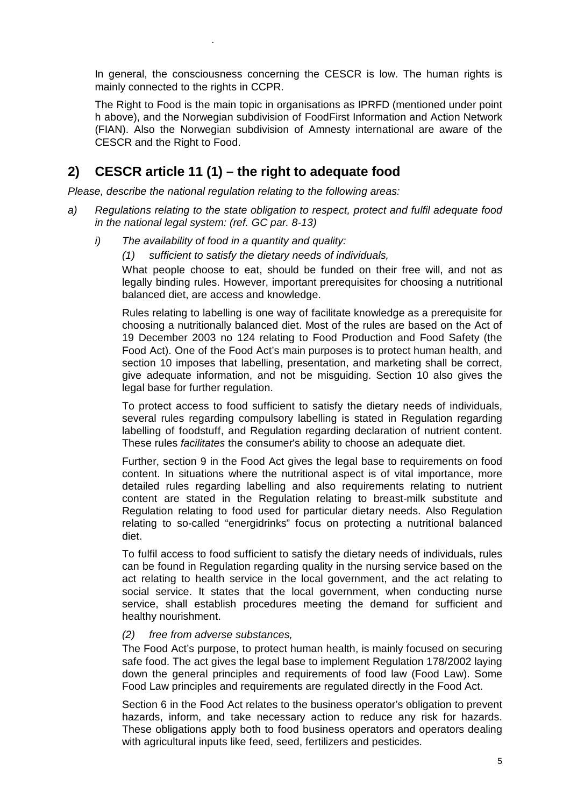In general, the consciousness concerning the CESCR is low. The human rights is mainly connected to the rights in CCPR.

The Right to Food is the main topic in organisations as IPRFD (mentioned under point h above), and the Norwegian subdivision of FoodFirst Information and Action Network (FIAN). Also the Norwegian subdivision of Amnesty international are aware of the CESCR and the Right to Food.

# **2) CESCR article 11 (1) – the right to adequate food**

.

*Please, describe the national regulation relating to the following areas:* 

- *a) Regulations relating to the state obligation to respect, protect and fulfil adequate food in the national legal system: (ref. GC par. 8-13)* 
	- *i) The availability of food in a quantity and quality:* 
		- *(1) sufficient to satisfy the dietary needs of individuals,*

What people choose to eat, should be funded on their free will, and not as legally binding rules. However, important prerequisites for choosing a nutritional balanced diet, are access and knowledge.

Rules relating to labelling is one way of facilitate knowledge as a prerequisite for choosing a nutritionally balanced diet. Most of the rules are based on the Act of 19 December 2003 no 124 relating to Food Production and Food Safety (the Food Act). One of the Food Act's main purposes is to protect human health, and section 10 imposes that labelling, presentation, and marketing shall be correct, give adequate information, and not be misguiding. Section 10 also gives the legal base for further regulation.

To protect access to food sufficient to satisfy the dietary needs of individuals, several rules regarding compulsory labelling is stated in Regulation regarding labelling of foodstuff, and Regulation regarding declaration of nutrient content. These rules *facilitates* the consumer's ability to choose an adequate diet.

Further, section 9 in the Food Act gives the legal base to requirements on food content. In situations where the nutritional aspect is of vital importance, more detailed rules regarding labelling and also requirements relating to nutrient content are stated in the Regulation relating to breast-milk substitute and Regulation relating to food used for particular dietary needs. Also Regulation relating to so-called "energidrinks" focus on protecting a nutritional balanced diet.

To fulfil access to food sufficient to satisfy the dietary needs of individuals, rules can be found in Regulation regarding quality in the nursing service based on the act relating to health service in the local government, and the act relating to social service. It states that the local government, when conducting nurse service, shall establish procedures meeting the demand for sufficient and healthy nourishment.

#### *(2) free from adverse substances,*

The Food Act's purpose, to protect human health, is mainly focused on securing safe food. The act gives the legal base to implement Regulation 178/2002 laying down the general principles and requirements of food law (Food Law). Some Food Law principles and requirements are regulated directly in the Food Act.

Section 6 in the Food Act relates to the business operator's obligation to prevent hazards, inform, and take necessary action to reduce any risk for hazards. These obligations apply both to food business operators and operators dealing with agricultural inputs like feed, seed, fertilizers and pesticides.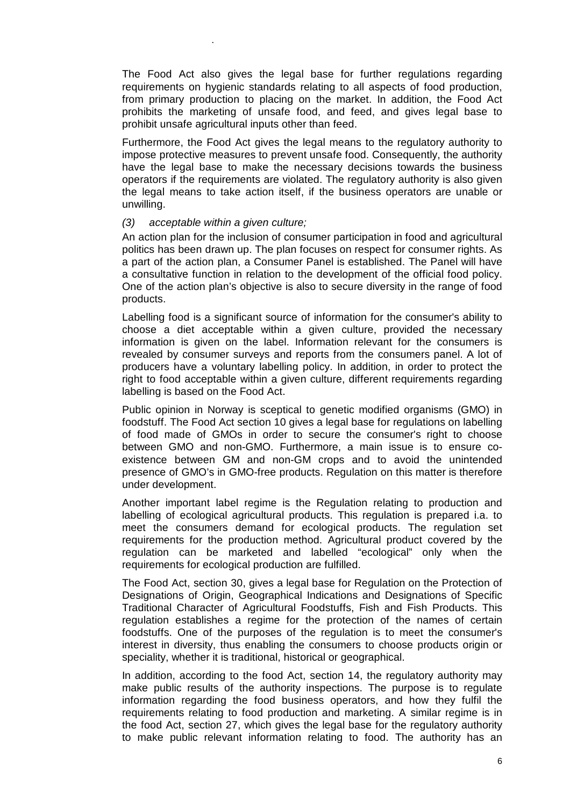The Food Act also gives the legal base for further regulations regarding requirements on hygienic standards relating to all aspects of food production, from primary production to placing on the market. In addition, the Food Act prohibits the marketing of unsafe food, and feed, and gives legal base to prohibit unsafe agricultural inputs other than feed.

Furthermore, the Food Act gives the legal means to the regulatory authority to impose protective measures to prevent unsafe food. Consequently, the authority have the legal base to make the necessary decisions towards the business operators if the requirements are violated. The regulatory authority is also given the legal means to take action itself, if the business operators are unable or unwilling.

#### *(3) acceptable within a given culture;*

.

An action plan for the inclusion of consumer participation in food and agricultural politics has been drawn up. The plan focuses on respect for consumer rights. As a part of the action plan, a Consumer Panel is established. The Panel will have a consultative function in relation to the development of the official food policy. One of the action plan's objective is also to secure diversity in the range of food products.

Labelling food is a significant source of information for the consumer's ability to choose a diet acceptable within a given culture, provided the necessary information is given on the label. Information relevant for the consumers is revealed by consumer surveys and reports from the consumers panel. A lot of producers have a voluntary labelling policy. In addition, in order to protect the right to food acceptable within a given culture, different requirements regarding labelling is based on the Food Act.

Public opinion in Norway is sceptical to genetic modified organisms (GMO) in foodstuff. The Food Act section 10 gives a legal base for regulations on labelling of food made of GMOs in order to secure the consumer's right to choose between GMO and non-GMO. Furthermore, a main issue is to ensure coexistence between GM and non-GM crops and to avoid the unintended presence of GMO's in GMO-free products. Regulation on this matter is therefore under development.

Another important label regime is the Regulation relating to production and labelling of ecological agricultural products. This regulation is prepared i.a. to meet the consumers demand for ecological products. The regulation set requirements for the production method. Agricultural product covered by the regulation can be marketed and labelled "ecological" only when the requirements for ecological production are fulfilled.

The Food Act, section 30, gives a legal base for Regulation on the Protection of Designations of Origin, Geographical Indications and Designations of Specific Traditional Character of Agricultural Foodstuffs, Fish and Fish Products. This regulation establishes a regime for the protection of the names of certain foodstuffs. One of the purposes of the regulation is to meet the consumer's interest in diversity, thus enabling the consumers to choose products origin or speciality, whether it is traditional, historical or geographical.

In addition, according to the food Act, section 14, the regulatory authority may make public results of the authority inspections. The purpose is to regulate information regarding the food business operators, and how they fulfil the requirements relating to food production and marketing. A similar regime is in the food Act, section 27, which gives the legal base for the regulatory authority to make public relevant information relating to food. The authority has an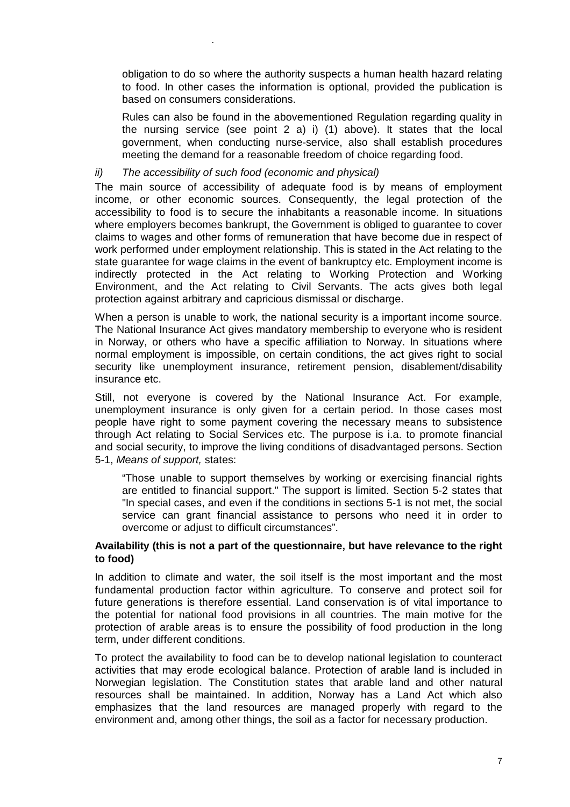obligation to do so where the authority suspects a human health hazard relating to food. In other cases the information is optional, provided the publication is based on consumers considerations.

Rules can also be found in the abovementioned Regulation regarding quality in the nursing service (see point 2 a) i) (1) above). It states that the local government, when conducting nurse-service, also shall establish procedures meeting the demand for a reasonable freedom of choice regarding food.

#### *ii) The accessibility of such food (economic and physical)*

.

The main source of accessibility of adequate food is by means of employment income, or other economic sources. Consequently, the legal protection of the accessibility to food is to secure the inhabitants a reasonable income. In situations where employers becomes bankrupt, the Government is obliged to guarantee to cover claims to wages and other forms of remuneration that have become due in respect of work performed under employment relationship. This is stated in the Act relating to the state guarantee for wage claims in the event of bankruptcy etc. Employment income is indirectly protected in the Act relating to Working Protection and Working Environment, and the Act relating to Civil Servants. The acts gives both legal protection against arbitrary and capricious dismissal or discharge.

When a person is unable to work, the national security is a important income source. The National Insurance Act gives mandatory membership to everyone who is resident in Norway, or others who have a specific affiliation to Norway. In situations where normal employment is impossible, on certain conditions, the act gives right to social security like unemployment insurance, retirement pension, disablement/disability insurance etc.

Still, not everyone is covered by the National Insurance Act. For example, unemployment insurance is only given for a certain period. In those cases most people have right to some payment covering the necessary means to subsistence through Act relating to Social Services etc. The purpose is i.a. to promote financial and social security, to improve the living conditions of disadvantaged persons. Section 5-1, *Means of support,* states:

"Those unable to support themselves by working or exercising financial rights are entitled to financial support." The support is limited. Section 5-2 states that "In special cases, and even if the conditions in sections 5-1 is not met, the social service can grant financial assistance to persons who need it in order to overcome or adjust to difficult circumstances".

#### **Availability (this is not a part of the questionnaire, but have relevance to the right to food)**

In addition to climate and water, the soil itself is the most important and the most fundamental production factor within agriculture. To conserve and protect soil for future generations is therefore essential. Land conservation is of vital importance to the potential for national food provisions in all countries. The main motive for the protection of arable areas is to ensure the possibility of food production in the long term, under different conditions.

To protect the availability to food can be to develop national legislation to counteract activities that may erode ecological balance. Protection of arable land is included in Norwegian legislation. The Constitution states that arable land and other natural resources shall be maintained. In addition, Norway has a Land Act which also emphasizes that the land resources are managed properly with regard to the environment and, among other things, the soil as a factor for necessary production.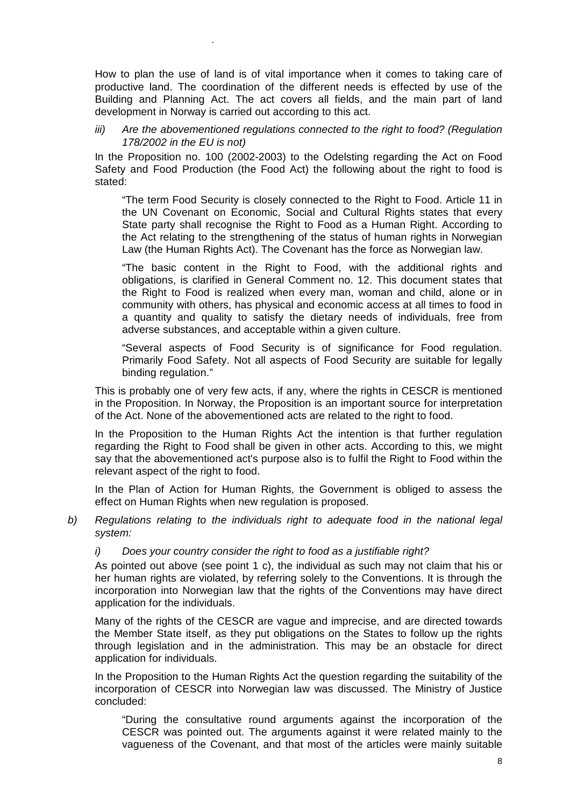How to plan the use of land is of vital importance when it comes to taking care of productive land. The coordination of the different needs is effected by use of the Building and Planning Act. The act covers all fields, and the main part of land development in Norway is carried out according to this act.

.

*iii)* Are the abovementioned regulations connected to the right to food? (Regulation *178/2002 in the EU is not)* 

In the Proposition no. 100 (2002-2003) to the Odelsting regarding the Act on Food Safety and Food Production (the Food Act) the following about the right to food is stated:

"The term Food Security is closely connected to the Right to Food. Article 11 in the UN Covenant on Economic, Social and Cultural Rights states that every State party shall recognise the Right to Food as a Human Right. According to the Act relating to the strengthening of the status of human rights in Norwegian Law (the Human Rights Act). The Covenant has the force as Norwegian law.

"The basic content in the Right to Food, with the additional rights and obligations, is clarified in General Comment no. 12. This document states that the Right to Food is realized when every man, woman and child, alone or in community with others, has physical and economic access at all times to food in a quantity and quality to satisfy the dietary needs of individuals, free from adverse substances, and acceptable within a given culture.

"Several aspects of Food Security is of significance for Food regulation. Primarily Food Safety. Not all aspects of Food Security are suitable for legally binding regulation."

This is probably one of very few acts, if any, where the rights in CESCR is mentioned in the Proposition. In Norway, the Proposition is an important source for interpretation of the Act. None of the abovementioned acts are related to the right to food.

In the Proposition to the Human Rights Act the intention is that further regulation regarding the Right to Food shall be given in other acts. According to this, we might say that the abovementioned act's purpose also is to fulfil the Right to Food within the relevant aspect of the right to food.

In the Plan of Action for Human Rights, the Government is obliged to assess the effect on Human Rights when new regulation is proposed.

- *b) Regulations relating to the individuals right to adequate food in the national legal system:* 
	- *i) Does your country consider the right to food as a justifiable right?*

As pointed out above (see point 1 c), the individual as such may not claim that his or her human rights are violated, by referring solely to the Conventions. It is through the incorporation into Norwegian law that the rights of the Conventions may have direct application for the individuals.

Many of the rights of the CESCR are vague and imprecise, and are directed towards the Member State itself, as they put obligations on the States to follow up the rights through legislation and in the administration. This may be an obstacle for direct application for individuals.

In the Proposition to the Human Rights Act the question regarding the suitability of the incorporation of CESCR into Norwegian law was discussed. The Ministry of Justice concluded:

"During the consultative round arguments against the incorporation of the CESCR was pointed out. The arguments against it were related mainly to the vagueness of the Covenant, and that most of the articles were mainly suitable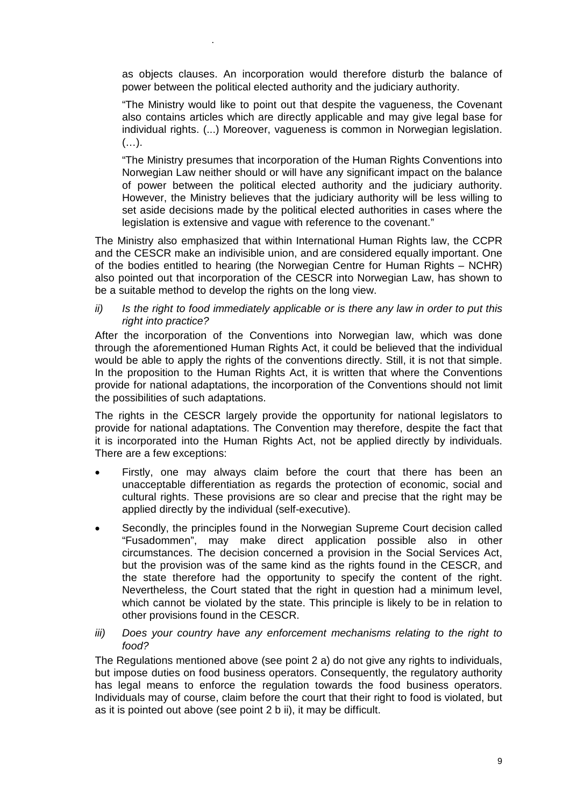as objects clauses. An incorporation would therefore disturb the balance of power between the political elected authority and the judiciary authority.

.

"The Ministry would like to point out that despite the vagueness, the Covenant also contains articles which are directly applicable and may give legal base for individual rights. (...) Moreover, vagueness is common in Norwegian legislation.  $(\ldots).$ 

"The Ministry presumes that incorporation of the Human Rights Conventions into Norwegian Law neither should or will have any significant impact on the balance of power between the political elected authority and the judiciary authority. However, the Ministry believes that the judiciary authority will be less willing to set aside decisions made by the political elected authorities in cases where the legislation is extensive and vague with reference to the covenant."

The Ministry also emphasized that within International Human Rights law, the CCPR and the CESCR make an indivisible union, and are considered equally important. One of the bodies entitled to hearing (the Norwegian Centre for Human Rights – NCHR) also pointed out that incorporation of the CESCR into Norwegian Law, has shown to be a suitable method to develop the rights on the long view.

*ii) Is the right to food immediately applicable or is there any law in order to put this right into practice?* 

After the incorporation of the Conventions into Norwegian law, which was done through the aforementioned Human Rights Act, it could be believed that the individual would be able to apply the rights of the conventions directly. Still, it is not that simple. In the proposition to the Human Rights Act, it is written that where the Conventions provide for national adaptations, the incorporation of the Conventions should not limit the possibilities of such adaptations.

The rights in the CESCR largely provide the opportunity for national legislators to provide for national adaptations. The Convention may therefore, despite the fact that it is incorporated into the Human Rights Act, not be applied directly by individuals. There are a few exceptions:

- Firstly, one may always claim before the court that there has been an unacceptable differentiation as regards the protection of economic, social and cultural rights. These provisions are so clear and precise that the right may be applied directly by the individual (self-executive).
- Secondly, the principles found in the Norwegian Supreme Court decision called "Fusadommen", may make direct application possible also in other circumstances. The decision concerned a provision in the Social Services Act, but the provision was of the same kind as the rights found in the CESCR, and the state therefore had the opportunity to specify the content of the right. Nevertheless, the Court stated that the right in question had a minimum level, which cannot be violated by the state. This principle is likely to be in relation to other provisions found in the CESCR.
- *iii)* Does your country have any enforcement mechanisms relating to the right to *food?*

The Regulations mentioned above (see point 2 a) do not give any rights to individuals, but impose duties on food business operators. Consequently, the regulatory authority has legal means to enforce the regulation towards the food business operators. Individuals may of course, claim before the court that their right to food is violated, but as it is pointed out above (see point 2 b ii), it may be difficult.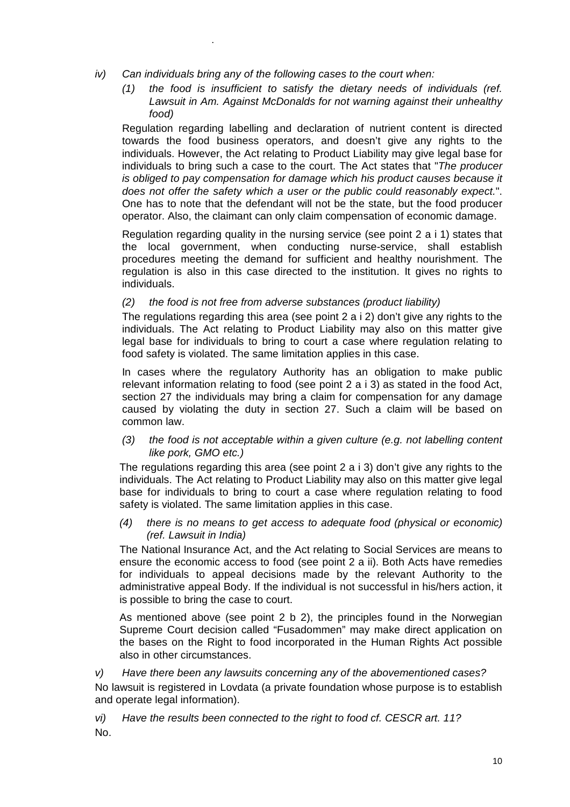*iv) Can individuals bring any of the following cases to the court when:* 

.

*(1) the food is insufficient to satisfy the dietary needs of individuals (ref. Lawsuit in Am. Against McDonalds for not warning against their unhealthy food)* 

Regulation regarding labelling and declaration of nutrient content is directed towards the food business operators, and doesn't give any rights to the individuals. However, the Act relating to Product Liability may give legal base for individuals to bring such a case to the court. The Act states that "*The producer is obliged to pay compensation for damage which his product causes because it does not offer the safety which a user or the public could reasonably expect.*". One has to note that the defendant will not be the state, but the food producer operator. Also, the claimant can only claim compensation of economic damage.

Regulation regarding quality in the nursing service (see point 2 a i 1) states that the local government, when conducting nurse-service, shall establish procedures meeting the demand for sufficient and healthy nourishment. The regulation is also in this case directed to the institution. It gives no rights to individuals.

#### *(2) the food is not free from adverse substances (product liability)*

The regulations regarding this area (see point 2 a i 2) don't give any rights to the individuals. The Act relating to Product Liability may also on this matter give legal base for individuals to bring to court a case where regulation relating to food safety is violated. The same limitation applies in this case.

In cases where the regulatory Authority has an obligation to make public relevant information relating to food (see point 2 a i 3) as stated in the food Act, section 27 the individuals may bring a claim for compensation for any damage caused by violating the duty in section 27. Such a claim will be based on common law.

*(3) the food is not acceptable within a given culture (e.g. not labelling content like pork, GMO etc.)* 

The regulations regarding this area (see point 2 a i 3) don't give any rights to the individuals. The Act relating to Product Liability may also on this matter give legal base for individuals to bring to court a case where regulation relating to food safety is violated. The same limitation applies in this case.

*(4) there is no means to get access to adequate food (physical or economic) (ref. Lawsuit in India)* 

The National Insurance Act, and the Act relating to Social Services are means to ensure the economic access to food (see point 2 a ii). Both Acts have remedies for individuals to appeal decisions made by the relevant Authority to the administrative appeal Body. If the individual is not successful in his/hers action, it is possible to bring the case to court.

As mentioned above (see point 2 b 2), the principles found in the Norwegian Supreme Court decision called "Fusadommen" may make direct application on the bases on the Right to food incorporated in the Human Rights Act possible also in other circumstances.

#### *v) Have there been any lawsuits concerning any of the abovementioned cases?*

No lawsuit is registered in Lovdata (a private foundation whose purpose is to establish and operate legal information).

*vi) Have the results been connected to the right to food cf. CESCR art. 11?*  No.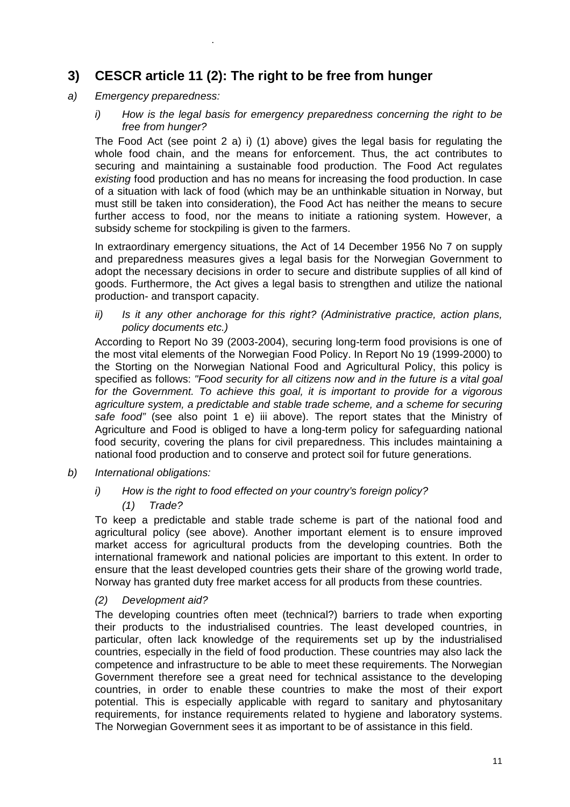## **3) CESCR article 11 (2): The right to be free from hunger**

*a) Emergency preparedness:* 

.

*i) How is the legal basis for emergency preparedness concerning the right to be free from hunger?* 

The Food Act (see point 2 a) i) (1) above) gives the legal basis for regulating the whole food chain, and the means for enforcement. Thus, the act contributes to securing and maintaining a sustainable food production. The Food Act regulates *existing* food production and has no means for increasing the food production. In case of a situation with lack of food (which may be an unthinkable situation in Norway, but must still be taken into consideration), the Food Act has neither the means to secure further access to food, nor the means to initiate a rationing system. However, a subsidy scheme for stockpiling is given to the farmers.

In extraordinary emergency situations, the Act of 14 December 1956 No 7 on supply and preparedness measures gives a legal basis for the Norwegian Government to adopt the necessary decisions in order to secure and distribute supplies of all kind of goods. Furthermore, the Act gives a legal basis to strengthen and utilize the national production- and transport capacity.

*ii) Is it any other anchorage for this right? (Administrative practice, action plans, policy documents etc.)* 

According to Report No 39 (2003-2004), securing long-term food provisions is one of the most vital elements of the Norwegian Food Policy. In Report No 19 (1999-2000) to the Storting on the Norwegian National Food and Agricultural Policy, this policy is specified as follows: *"Food security for all citizens now and in the future is a vital goal for the Government. To achieve this goal, it is important to provide for a vigorous agriculture system, a predictable and stable trade scheme, and a scheme for securing safe food"* (see also point 1 e) iii above). The report states that the Ministry of Agriculture and Food is obliged to have a long-term policy for safeguarding national food security, covering the plans for civil preparedness. This includes maintaining a national food production and to conserve and protect soil for future generations.

- *b) International obligations:* 
	- *i) How is the right to food effected on your country's foreign policy?* 
		- *(1) Trade?*

To keep a predictable and stable trade scheme is part of the national food and agricultural policy (see above). Another important element is to ensure improved market access for agricultural products from the developing countries. Both the international framework and national policies are important to this extent. In order to ensure that the least developed countries gets their share of the growing world trade, Norway has granted duty free market access for all products from these countries.

#### *(2) Development aid?*

The developing countries often meet (technical?) barriers to trade when exporting their products to the industrialised countries. The least developed countries, in particular, often lack knowledge of the requirements set up by the industrialised countries, especially in the field of food production. These countries may also lack the competence and infrastructure to be able to meet these requirements. The Norwegian Government therefore see a great need for technical assistance to the developing countries, in order to enable these countries to make the most of their export potential. This is especially applicable with regard to sanitary and phytosanitary requirements, for instance requirements related to hygiene and laboratory systems. The Norwegian Government sees it as important to be of assistance in this field.